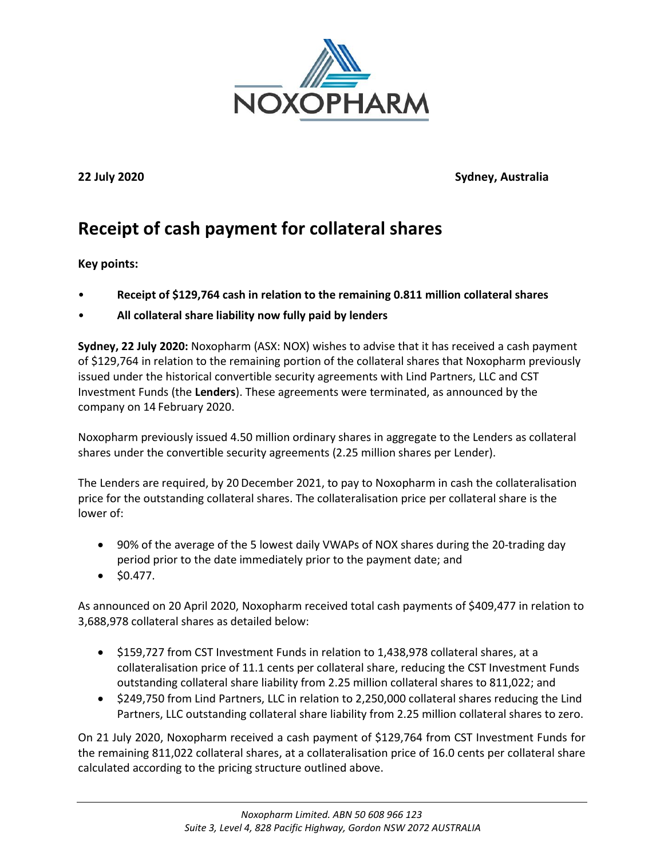

**22 July 2020 Sydney, Australia**

## **Receipt of cash payment for collateral shares**

## **Key points:**

- **Receipt of \$129,764 cash in relation to the remaining 0.811 million collateral shares**
- **All collateral share liability now fully paid by lenders**

**Sydney, 22 July 2020:** Noxopharm (ASX: NOX) wishes to advise that it has received a cash payment of \$129,764 in relation to the remaining portion of the collateral shares that Noxopharm previously issued under the historical convertible security agreements with Lind Partners, LLC and CST Investment Funds (the **Lenders**). These agreements were terminated, as announced by the company on 14 February 2020.

Noxopharm previously issued 4.50 million ordinary shares in aggregate to the Lenders as collateral shares under the convertible security agreements (2.25 million shares per Lender).

The Lenders are required, by 20 December 2021, to pay to Noxopharm in cash the collateralisation price for the outstanding collateral shares. The collateralisation price per collateral share is the lower of:

- 90% of the average of the 5 lowest daily VWAPs of NOX shares during the 20-trading day period prior to the date immediately prior to the payment date; and
- $\bullet$  \$0.477.

As announced on 20 April 2020, Noxopharm received total cash payments of \$409,477 in relation to 3,688,978 collateral shares as detailed below:

- \$159,727 from CST Investment Funds in relation to 1,438,978 collateral shares, at a collateralisation price of 11.1 cents per collateral share, reducing the CST Investment Funds outstanding collateral share liability from 2.25 million collateral shares to 811,022; and
- \$249,750 from Lind Partners, LLC in relation to 2,250,000 collateral shares reducing the Lind Partners, LLC outstanding collateral share liability from 2.25 million collateral shares to zero.

On 21 July 2020, Noxopharm received a cash payment of \$129,764 from CST Investment Funds for the remaining 811,022 collateral shares, at a collateralisation price of 16.0 cents per collateral share calculated according to the pricing structure outlined above.